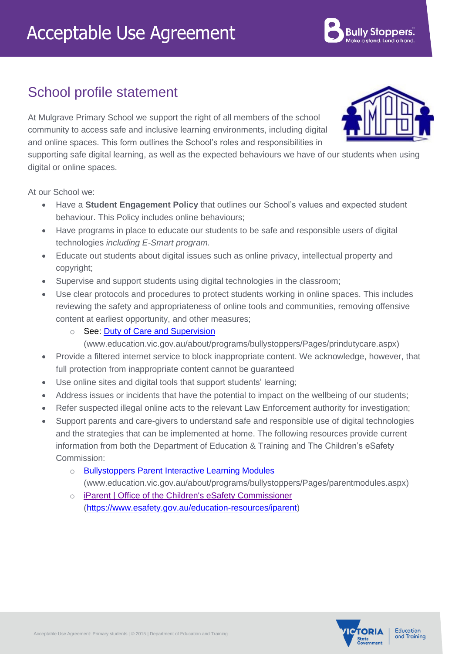## School profile statement

At Mulgrave Primary School we support the right of all members of the school community to access safe and inclusive learning environments, including digital and online spaces. This form outlines the School's roles and responsibilities in

supporting safe digital learning, as well as the expected behaviours we have of our students when using digital or online spaces.

At our School we:

- Have a **Student Engagement Policy** that outlines our School's values and expected student behaviour. This Policy includes online behaviours;
- Have programs in place to educate our students to be safe and responsible users of digital technologies *including E-Smart program.*
- Educate out students about digital issues such as online privacy, intellectual property and copyright;
- Supervise and support students using digital technologies in the classroom;
- Use clear protocols and procedures to protect students working in online spaces. This includes reviewing the safety and appropriateness of online tools and communities, removing offensive content at earliest opportunity, and other measures;
	- See: Duty of Care and Supervision

[\(www.education.vic.gov.au/about/programs/bullystoppers/Pages/prindutycare.aspx\)](http://www.education.vic.gov.au/about/programs/bullystoppers/Pages/prindutycare.aspx)

- Provide a filtered internet service to block inappropriate content. We acknowledge, however, that full protection from inappropriate content cannot be guaranteed
- Use online sites and digital tools that support students' learning;
- Address issues or incidents that have the potential to impact on the wellbeing of our students;
- Refer suspected illegal online acts to the relevant Law Enforcement authority for investigation;
- Support parents and care-givers to understand safe and responsible use of digital technologies and the strategies that can be implemented at home. The following resources provide current information from both the [Department of Education &](http://www.education.vic.gov.au/about/programs/bullystoppers/Pages/parentmodules.aspx) Training and The Children's eSafety Commission:
	- o [Bullystoppers Parent Interactive Learning Modules](http://www.education.vic.gov.au/about/programs/bullystoppers/Pages/parentmodules.aspx)
		- [\(www.education.vic.gov.au/about/programs/bullystoppers/Pages/parentmodules.aspx\)](http://www.education.vic.gov.au/about/programs/bullystoppers/Pages/parentmodules.aspx)
	- o [iParent | Office of the Children's eSafety Commissioner](https://www.esafety.gov.au/education-resources/iparent) [\(https://www.esafety.gov.au/education-resources/iparent\)](https://www.esafety.gov.au/education-resources/iparent)







**Bully Stoppers**.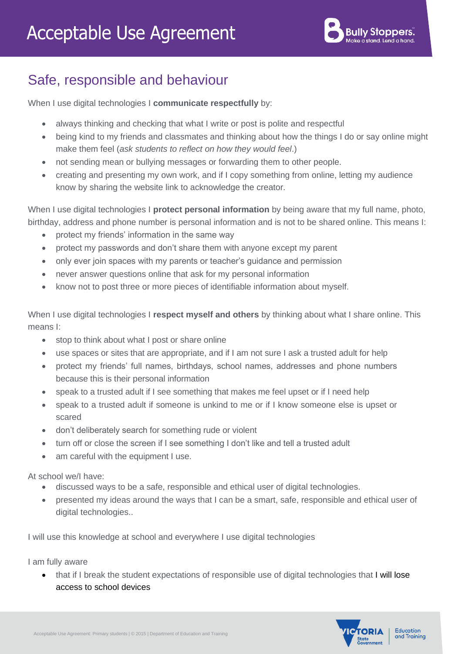## Safe, responsible and behaviour

When I use digital technologies I **communicate respectfully** by:

- always thinking and checking that what I write or post is polite and respectful
- being kind to my friends and classmates and thinking about how the things I do or say online might make them feel (*ask students to reflect on how they would feel*.)
- not sending mean or bullying messages or forwarding them to other people.
- creating and presenting my own work, and if I copy something from online, letting my audience know by sharing the website link to acknowledge the creator.

When I use digital technologies I **protect personal information** by being aware that my full name, photo, birthday, address and phone number is personal information and is not to be shared online. This means I:

- protect my friends' information in the same way
- protect my passwords and don't share them with anyone except my parent
- only ever join spaces with my parents or teacher's guidance and permission
- never answer questions online that ask for my personal information
- know not to post three or more pieces of identifiable information about myself.

When I use digital technologies I **respect myself and others** by thinking about what I share online. This means I:

- stop to think about what I post or share online
- use spaces or sites that are appropriate, and if I am not sure I ask a trusted adult for help
- protect my friends' full names, birthdays, school names, addresses and phone numbers because this is their personal information
- speak to a trusted adult if I see something that makes me feel upset or if I need help
- speak to a trusted adult if someone is unkind to me or if I know someone else is upset or scared
- don't deliberately search for something rude or violent
- turn off or close the screen if I see something I don't like and tell a trusted adult
- am careful with the equipment I use.

At school we/I have:

- discussed ways to be a safe, responsible and ethical user of digital technologies.
- presented my ideas around the ways that I can be a smart, safe, responsible and ethical user of digital technologies..

I will use this knowledge at school and everywhere I use digital technologies

I am fully aware

• that if I break the student expectations of responsible use of digital technologies that I will lose access to school devices



Education and Training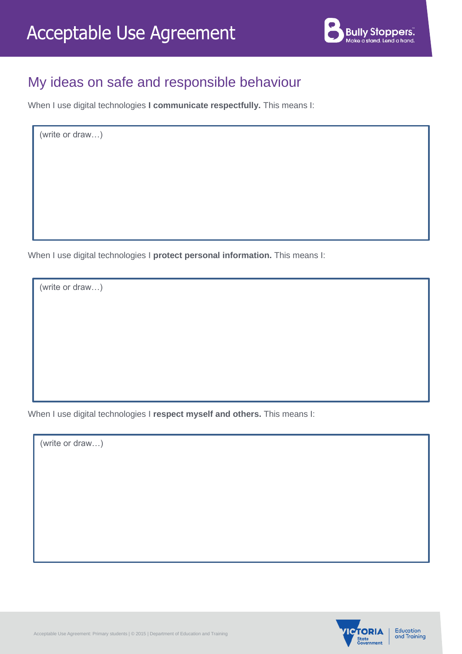

## My ideas on safe and responsible behaviour

When I use digital technologies **I communicate respectfully.** This means I:

(write or draw…)

When I use digital technologies I **protect personal information.** This means I:

(write or draw…)

When I use digital technologies I **respect myself and others.** This means I:

(write or draw…)



Education and Training